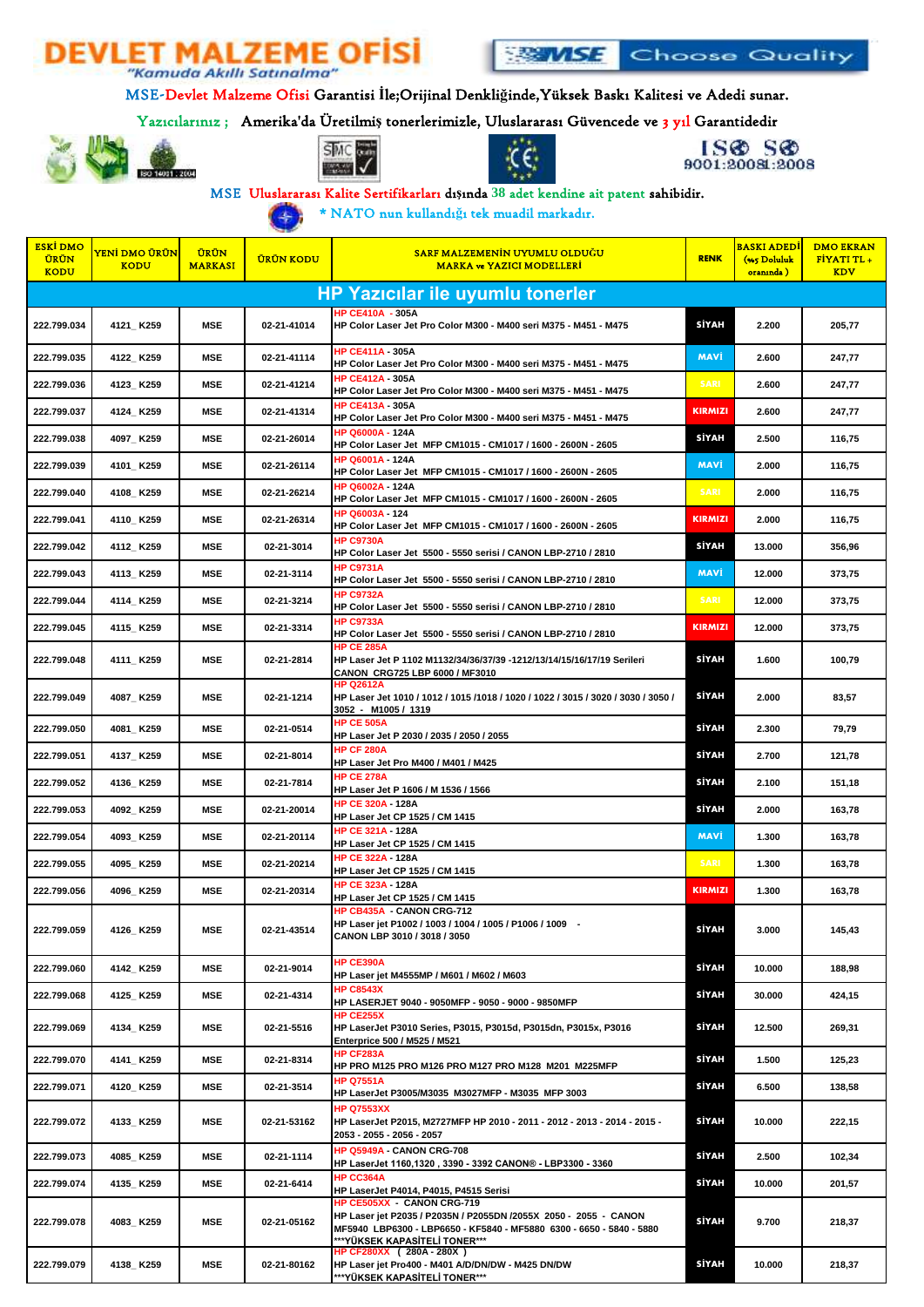



MSE-Devlet Malzeme Ofisi Garantisi **İ**le;Orijinal Denkli**ğ**inde,Yüksek Baskı Kalitesi ve Adedi sunar.

## Yazıcılarınız ; Amerika'da Üretilmi**ş** tonerlerimizle, Uluslararası Güvencede ve 3 yıl Garantidedir











MSE Uluslararası Kalite Sertifikarları dı**ş**ında **38** adet kendine ait patent sahibidir.

\* NATO nun kullandı**ğ**ı tek muadil markadır. 4

| <b>ESKI DMO</b><br><b>ÜRÜN</b><br><b>KODU</b> | YENİ DMO ÜRÜN<br><b>KODU</b> | <b>ÜRÜN</b><br><b>MARKASI</b> | <b>ÜRÜN KODU</b> | <u>SARF MALZEMENİN UYUMLU OLDUĞU</u><br><b>MARKA ve YAZICI MODELLERI</b>                                                                                                                                | <b>RENK</b>    | <mark>BASKI ADEDİ</mark><br>(%5 Doluluk<br>oraninda) | <b>DMO EKRAN</b><br>FIYATI TL +<br><b>KDV</b> |  |  |
|-----------------------------------------------|------------------------------|-------------------------------|------------------|---------------------------------------------------------------------------------------------------------------------------------------------------------------------------------------------------------|----------------|------------------------------------------------------|-----------------------------------------------|--|--|
| <b>HP Yazıcılar ile uyumlu tonerler</b>       |                              |                               |                  |                                                                                                                                                                                                         |                |                                                      |                                               |  |  |
| 222.799.034                                   | 4121_K259                    | <b>MSE</b>                    | 02-21-41014      | <b>HP CE410A - 305A</b><br>HP Color Laser Jet Pro Color M300 - M400 seri M375 - M451 - M475                                                                                                             | SİYAH          | 2.200                                                | 205,77                                        |  |  |
| 222.799.035                                   | 4122_K259                    | <b>MSE</b>                    | 02-21-41114      | <b>HP CE411A - 305A</b><br>HP Color Laser Jet Pro Color M300 - M400 seri M375 - M451 - M475                                                                                                             | <b>MAVI</b>    | 2.600                                                | 247,77                                        |  |  |
| 222.799.036                                   | 4123_K259                    | <b>MSE</b>                    | 02-21-41214      | HP CE412A - 305A<br>HP Color Laser Jet Pro Color M300 - M400 seri M375 - M451 - M475                                                                                                                    | <b>SARI</b>    | 2.600                                                | 247,77                                        |  |  |
| 222.799.037                                   | 4124_K259                    | <b>MSE</b>                    | 02-21-41314      | HP CE413A - 305A<br>HP Color Laser Jet Pro Color M300 - M400 seri M375 - M451 - M475                                                                                                                    | <b>KIRMIZI</b> | 2.600                                                | 247,77                                        |  |  |
| 222.799.038                                   | 4097_K259                    | MSE                           | 02-21-26014      | <b>HP Q6000A - 124A</b><br>HP Color Laser Jet MFP CM1015 - CM1017 / 1600 - 2600N - 2605                                                                                                                 | <b>SİYAH</b>   | 2.500                                                | 116,75                                        |  |  |
| 222.799.039                                   | 4101 K259                    | MSE                           | 02-21-26114      | <b>HP Q6001A - 124A</b><br>HP Color Laser Jet MFP CM1015 - CM1017 / 1600 - 2600N - 2605                                                                                                                 | <b>MAVI</b>    | 2.000                                                | 116,75                                        |  |  |
| 222.799.040                                   | 4108_K259                    | <b>MSE</b>                    | 02-21-26214      | HP Q6002A - 124A<br>HP Color Laser Jet MFP CM1015 - CM1017 / 1600 - 2600N - 2605                                                                                                                        | <b>SARI</b>    | 2.000                                                | 116,75                                        |  |  |
| 222.799.041                                   | 4110_ K259                   | <b>MSE</b>                    | 02-21-26314      | HP Q6003A - 124<br>HP Color Laser Jet MFP CM1015 - CM1017 / 1600 - 2600N - 2605                                                                                                                         | <b>KIRMIZI</b> | 2.000                                                | 116,75                                        |  |  |
| 222.799.042                                   | 4112 K259                    | <b>MSE</b>                    | 02-21-3014       | <b>HP C9730A</b><br>HP Color Laser Jet 5500 - 5550 serisi / CANON LBP-2710 / 2810                                                                                                                       | SİYAH          | 13.000                                               | 356,96                                        |  |  |
| 222.799.043                                   | 4113_K259                    | MSE                           | 02-21-3114       | <b>HP C9731A</b><br>HP Color Laser Jet 5500 - 5550 serisi / CANON LBP-2710 / 2810                                                                                                                       | <b>MAVI</b>    | 12.000                                               | 373,75                                        |  |  |
| 222.799.044                                   | 4114_K259                    | MSE                           | 02-21-3214       | <b>HP C9732A</b><br>HP Color Laser Jet 5500 - 5550 serisi / CANON LBP-2710 / 2810                                                                                                                       | <b>SARI</b>    | 12.000                                               | 373,75                                        |  |  |
| 222.799.045                                   | 4115_K259                    | <b>MSE</b>                    | 02-21-3314       | <b>HP C9733A</b><br>HP Color Laser Jet 5500 - 5550 serisi / CANON LBP-2710 / 2810                                                                                                                       | <b>KIRMIZI</b> | 12.000                                               | 373,75                                        |  |  |
| 222.799.048                                   | 4111_K259                    | <b>MSE</b>                    | 02-21-2814       | <b>HP CE 285A</b><br>HP Laser Jet P 1102 M1132/34/36/37/39 -1212/13/14/15/16/17/19 Serileri<br>CANON CRG725 LBP 6000 / MF3010                                                                           | SİYAH          | 1.600                                                | 100,79                                        |  |  |
| 222.799.049                                   | 4087_K259                    | <b>MSE</b>                    | 02-21-1214       | HP Q2612A<br>HP Laser Jet 1010 / 1012 / 1015 /1018 / 1020 / 1022 / 3015 / 3020 / 3030 / 3050 /<br>3052 - M1005 / 1319                                                                                   | SİYAH          | 2.000                                                | 83,57                                         |  |  |
| 222.799.050                                   | 4081_K259                    | <b>MSE</b>                    | 02-21-0514       | <b>HP CE 505A</b><br>HP Laser Jet P 2030 / 2035 / 2050 / 2055                                                                                                                                           | SİYAH          | 2.300                                                | 79,79                                         |  |  |
| 222.799.051                                   | 4137_K259                    | MSE                           | 02-21-8014       | <b>HP CF 280A</b><br>HP Laser Jet Pro M400 / M401 / M425                                                                                                                                                | <b>SİYAH</b>   | 2.700                                                | 121,78                                        |  |  |
| 222.799.052                                   | 4136_K259                    | MSE                           | 02-21-7814       | <b>HP CE 278A</b><br>HP Laser Jet P 1606 / M 1536 / 1566                                                                                                                                                | SİYAH          | 2.100                                                | 151,18                                        |  |  |
| 222.799.053                                   | 4092_K259                    | MSE                           | 02-21-20014      | HP CE 320A - 128A<br>HP Laser Jet CP 1525 / CM 1415                                                                                                                                                     | <b>SİYAH</b>   | 2.000                                                | 163,78                                        |  |  |
| 222.799.054                                   | 4093_K259                    | <b>MSE</b>                    | 02-21-20114      | HP CE 321A - 128A<br>HP Laser Jet CP 1525 / CM 1415                                                                                                                                                     | <b>MAVI</b>    | 1.300                                                | 163,78                                        |  |  |
| 222.799.055                                   | 4095_ K259                   | <b>MSE</b>                    | 02-21-20214      | HP CE 322A - 128A<br>HP Laser Jet CP 1525 / CM 1415                                                                                                                                                     | <b>SARI</b>    | 1.300                                                | 163,78                                        |  |  |
| 222.799.056                                   | 4096_K259                    | <b>MSE</b>                    | 02-21-20314      | HP CE 323A - 128A<br>HP Laser Jet CP 1525 / CM 1415                                                                                                                                                     | <b>KIRMIZI</b> | 1.300                                                | 163,78                                        |  |  |
| 222.799.059                                   | 4126_K259                    | <b>MSE</b>                    | 02-21-43514      | <b>HP CB435A - CANON CRG-712</b><br>HP Laser jet P1002 / 1003 / 1004 / 1005 / P1006 / 1009 -<br>CANON LBP 3010 / 3018 / 3050                                                                            | SİYAH          | 3.000                                                | 145,43                                        |  |  |
| 222.799.060                                   | 4142_K259                    | <b>MSE</b>                    | 02-21-9014       | HP CE390A<br>HP Laser jet M4555MP / M601 / M602 / M603                                                                                                                                                  | SİYAH          | 10.000                                               | 188,98                                        |  |  |
| 222.799.068                                   | 4125_K259                    | <b>MSE</b>                    | 02-21-4314       | <b>HP C8543X</b><br>HP LASERJET 9040 - 9050MFP - 9050 - 9000 - 9850MFP                                                                                                                                  | SİYAH          | 30.000                                               | 424,15                                        |  |  |
| 222.799.069                                   | 4134_K259                    | MSE                           | 02-21-5516       | <b>HP CE255X</b><br>HP LaserJet P3010 Series, P3015, P3015d, P3015dn, P3015x, P3016<br>Enterprice 500 / M525 / M521                                                                                     | SİYAH          | 12.500                                               | 269,31                                        |  |  |
| 222.799.070                                   | 4141_K259                    | <b>MSE</b>                    | 02-21-8314       | <b>HP CF283A</b><br>HP PRO M125 PRO M126 PRO M127 PRO M128 M201 M225MFP                                                                                                                                 | SİYAH          | 1.500                                                | 125,23                                        |  |  |
| 222.799.071                                   | 4120_K259                    | <b>MSE</b>                    | 02-21-3514       | HP Q7551A<br>HP LaserJet P3005/M3035 M3027MFP - M3035 MFP 3003                                                                                                                                          | SİYAH          | 6.500                                                | 138,58                                        |  |  |
| 222.799.072                                   | 4133_K259                    | MSE                           | 02-21-53162      | <b>HP Q7553XX</b><br>HP LaserJet P2015, M2727MFP HP 2010 - 2011 - 2012 - 2013 - 2014 - 2015 -<br>2053 - 2055 - 2056 - 2057                                                                              | SİYAH          | 10.000                                               | 222,15                                        |  |  |
| 222.799.073                                   | 4085_K259                    | <b>MSE</b>                    | 02-21-1114       | <b>HP Q5949A - CANON CRG-708</b><br>HP LaserJet 1160,1320, 3390 - 3392 CANON® - LBP3300 - 3360                                                                                                          | SİYAH          | 2.500                                                | 102,34                                        |  |  |
| 222.799.074                                   | 4135_K259                    | MSE                           | 02-21-6414       | HP CC364A<br>HP LaserJet P4014, P4015, P4515 Serisi                                                                                                                                                     | SİYAH          | 10.000                                               | 201,57                                        |  |  |
| 222.799.078                                   | 4083_K259                    | MSE                           | 02-21-05162      | HP CE505XX - CANON CRG-719<br>HP Laser jet P2035 / P2035N / P2055DN /2055X 2050 - 2055 - CANON<br>MF5940 LBP6300 - LBP6650 - KF5840 - MF5880 6300 - 6650 - 5840 - 5880<br>***YÜKSEK KAPASİTELİ TONER*** | SİYAH          | 9.700                                                | 218,37                                        |  |  |
| 222.799.079                                   | 4138_K259                    | MSE                           | 02-21-80162      | HP CF280XX ( 280A - 280X )<br>HP Laser jet Pro400 - M401 A/D/DN/DW - M425 DN/DW<br>***YÜKSEK KAPASİTELİ TONER***                                                                                        | SİYAH          | 10.000                                               | 218,37                                        |  |  |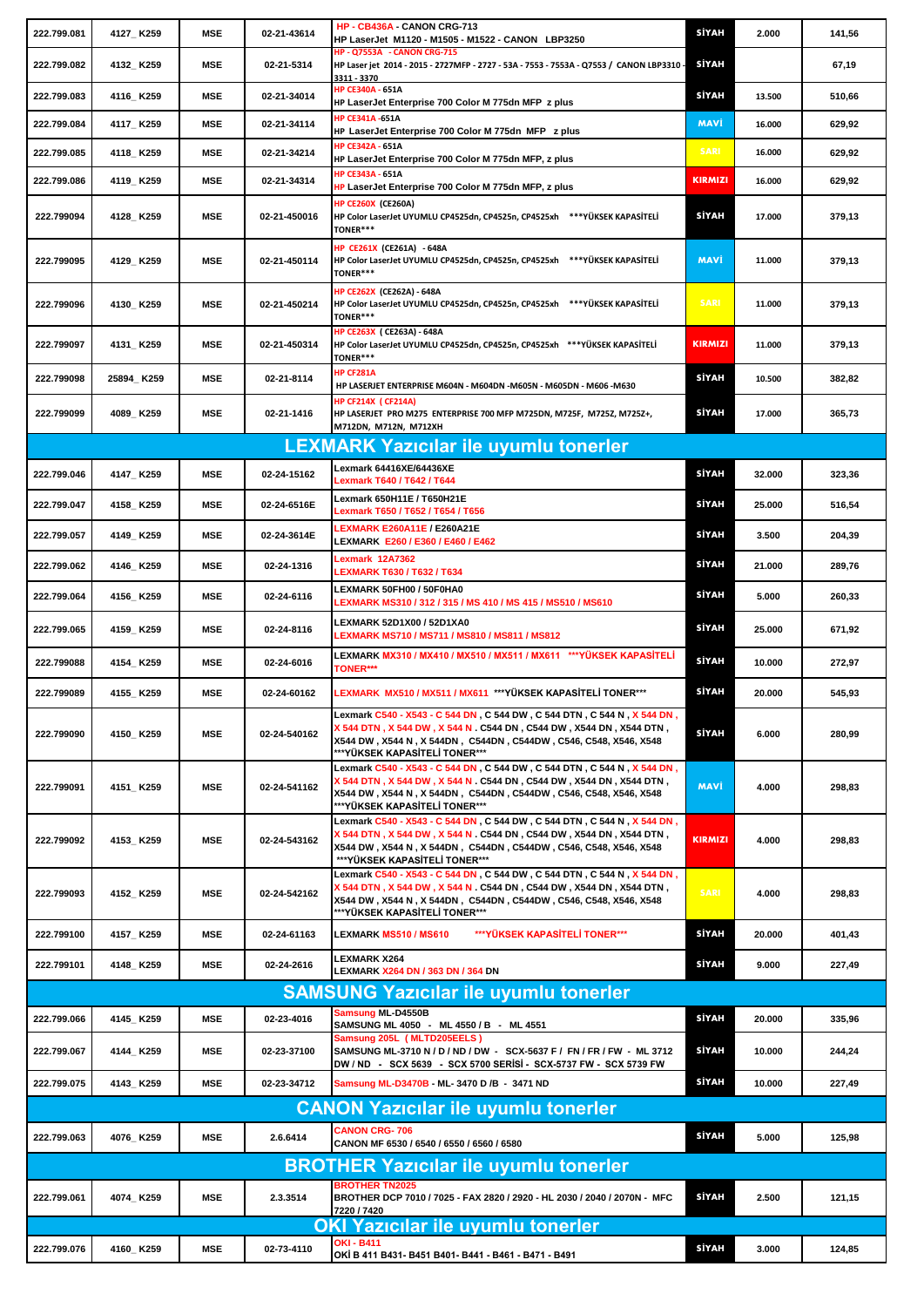| 222.799.081                                  | 4127_K259  | <b>MSE</b> | 02-21-43614  | HP - CB436A - CANON CRG-713<br>HP LaserJet M1120 - M1505 - M1522 - CANON LBP3250                                                                                                                                                                                            | SİYAH          | 2.000  | 141,56 |
|----------------------------------------------|------------|------------|--------------|-----------------------------------------------------------------------------------------------------------------------------------------------------------------------------------------------------------------------------------------------------------------------------|----------------|--------|--------|
| 222.799.082                                  | 4132 K259  | MSE        | 02-21-5314   | <b>HP - Q7553A - CANON CRG-715</b><br>HP Laser jet 2014 - 2015 - 2727MFP - 2727 - 53A - 7553 - 7553A - Q7553 / CANON LBP3310 -<br>3311 - 3370                                                                                                                               | <b>SİYAH</b>   |        | 67,19  |
| 222.799.083                                  | 4116_K259  | MSE        | 02-21-34014  | HP CE340A - 651A<br>HP LaserJet Enterprise 700 Color M 775dn MFP z plus                                                                                                                                                                                                     | SİYAH          | 13.500 | 510,66 |
| 222.799.084                                  | 4117_K259  | <b>MSE</b> | 02-21-34114  | <b>HP CE341A -651A</b><br>HP LaserJet Enterprise 700 Color M 775dn MFP z plus                                                                                                                                                                                               | <b>MAVİ</b>    | 16.000 | 629,92 |
| 222.799.085                                  | 4118_K259  | <b>MSE</b> | 02-21-34214  | <b>HP CE342A - 651A</b><br>HP LaserJet Enterprise 700 Color M 775dn MFP, z plus                                                                                                                                                                                             | <b>SARI</b>    | 16.000 | 629,92 |
| 222.799.086                                  | 4119_K259  | MSE        | 02-21-34314  | HP CE343A - 651A<br>HP LaserJet Enterprise 700 Color M 775dn MFP, z plus                                                                                                                                                                                                    | <b>KIRMIZI</b> | 16.000 | 629,92 |
| 222.799094                                   | 4128_K259  | MSE        | 02-21-450016 | <b>HP CE260X (CE260A)</b><br>HP Color LaserJet UYUMLU CP4525dn, CP4525n, CP4525xh ***YÜKSEK KAPASİTELİ<br><b>TONER***</b>                                                                                                                                                   | SİYAH          | 17.000 | 379,13 |
| 222.799095                                   | 4129_K259  | MSE        | 02-21-450114 | HP CE261X (CE261A) - 648A<br>HP Color LaserJet UYUMLU CP4525dn, CP4525n, CP4525xh *** YÜKSEK KAPASİTELİ<br><b>TONER***</b>                                                                                                                                                  | MAVİ           | 11.000 | 379,13 |
| 222.799096                                   | 4130_K259  | MSE        | 02-21-450214 | HP CE262X (CE262A) - 648A<br>HP Color LaserJet UYUMLU CP4525dn, CP4525n, CP4525xh *** YÜKSEK KAPASİTELİ<br>TONER***                                                                                                                                                         | <b>SARI</b>    | 11.000 | 379,13 |
| 222.799097                                   | 4131_K259  | MSE        | 02-21-450314 | HP CE263X (CE263A) - 648A<br>HP Color LaserJet UYUMLU CP4525dn, CP4525n, CP4525xh *** YÜKSEK KAPASİTELİ<br><b>TONER***</b>                                                                                                                                                  | <b>KIRMIZI</b> | 11.000 | 379,13 |
| 222.799098                                   | 25894_K259 | MSE        | 02-21-8114   | <b>HP CF281A</b><br>HP LASERJET ENTERPRISE M604N - M604DN -M605N - M605DN - M606 -M630                                                                                                                                                                                      | SİYAH          | 10.500 | 382,82 |
| 222.799099                                   | 4089_K259  | MSE        | 02-21-1416   | <b>HP CF214X ( CF214A)</b><br>HP LASERJET PRO M275 ENTERPRISE 700 MFP M725DN, M725F, M725Z, M725Z+,<br>M712DN, M712N, M712XH                                                                                                                                                | SİYAH          | 17.000 | 365,73 |
|                                              |            |            |              | <b>LEXMARK Yazicilar ile uyumlu tonerler</b>                                                                                                                                                                                                                                |                |        |        |
| 222.799.046                                  | 4147_K259  | MSE        | 02-24-15162  | Lexmark 64416XE/64436XE<br>Lexmark T640 / T642 / T644                                                                                                                                                                                                                       | SİYAH          | 32.000 | 323,36 |
| 222.799.047                                  | 4158_K259  | MSE        | 02-24-6516E  | Lexmark 650H11E / T650H21E<br>Lexmark T650 / T652 / T654 / T656                                                                                                                                                                                                             | SİYAH          | 25.000 | 516,54 |
| 222.799.057                                  | 4149_K259  | MSE        | 02-24-3614E  | <b>EXMARK E260A11E / E260A21E</b><br>LEXMARK E260 / E360 / E460 / E462                                                                                                                                                                                                      | SİYAH          | 3.500  | 204,39 |
| 222.799.062                                  | 4146_K259  | MSE        | 02-24-1316   | Lexmark 12A7362<br><b>LEXMARK T630 / T632 / T634</b>                                                                                                                                                                                                                        | <b>SİYAH</b>   | 21.000 | 289,76 |
| 222.799.064                                  | 4156_K259  | MSE        | 02-24-6116   | LEXMARK 50FH00 / 50F0HA0<br>EXMARK MS310 / 312 / 315 / MS 410 / MS 415 / MS510 / MS610                                                                                                                                                                                      | SİYAH          | 5.000  | 260,33 |
| 222.799.065                                  | 4159_K259  | <b>MSE</b> | 02-24-8116   | <b>LEXMARK 52D1X00 / 52D1XA0</b><br>LEXMARK MS710 / MS711 / MS810 / MS811 / MS812                                                                                                                                                                                           | SİYAH          | 25.000 | 671,92 |
| 222.799088                                   | 4154_K259  | MSE        | 02-24-6016   | LEXMARK MX310 / MX410 / MX510 / MX511 / MX611   ***YÜKSEK KAPASİTELİ<br><b>TONER***</b>                                                                                                                                                                                     | SİYAH          | 10.000 | 272,97 |
| 222.799089                                   | 4155_K259  | MSE        | 02-24-60162  | LEXMARK  MX510 / MX511 / MX611  ***YÜKSEK KAPASİTELİ TONER***                                                                                                                                                                                                               | <b>SİYAH</b>   | 20.000 | 545,93 |
| 222.799090                                   | 4150_K259  | <b>MSE</b> | 02-24-540162 | Lexmark C540 - X543 - C 544 DN , C 544 DW , C 544 DTN , C 544 N , X 544 DN ,<br>X 544 DTN , X 544 DW , X 544 N . C544 DN , C544 DW , X544 DN , X544 DTN ,<br>X544 DW, X544 N, X 544DN, C544DN, C544DW, C546, C548, X546, X548<br>***YÜKSEK KAPASİTELİ TONER***              | SİYAH          | 6.000  | 280,99 |
| 222.799091                                   | 4151_K259  | MSE        | 02-24-541162 | Lexmark C540 - X543 - C 544 DN , C 544 DW , C 544 DTN , C 544 N , X 544 DN ,<br>X 544 DTN , X 544 DW , X 544 N . C544 DN , C544 DW , X544 DN , X544 DTN ,<br>X544 DW, X544 N, X 544DN, C544DN, C544DW, C546, C548, X546, X548<br>***YÜKSEK KAPASİTELİ TONER***              | MAVİ           | 4.000  | 298,83 |
| 222.799092                                   | 4153_K259  | MSE        | 02-24-543162 | Lexmark C540 - X543 - C 544 DN , C 544 DW , C 544 DTN , C 544 N , <mark>X 544 DN</mark> ,<br>X 544 DTN , X 544 DW , X 544 N . C544 DN , C544 DW , X544 DN , X544 DTN ,<br>X544 DW, X544 N, X 544DN, C544DN, C544DW, C546, C548, X546, X548<br>***YÜKSEK KAPASİTELİ TONER*** | <b>KIRMIZI</b> | 4.000  | 298,83 |
| 222.799093                                   | 4152_K259  | MSE        | 02-24-542162 | Lexmark C540 - X543 - C 544 DN , C 544 DW , C 544 DTN , C 544 N , <mark>X 544 DN</mark> ,<br>X 544 DTN , X 544 DW , X 544 N . C544 DN , C544 DW , X544 DN , X544 DTN ,<br>X544 DW, X544 N, X 544DN, C544DN, C544DW, C546, C548, X546, X548<br>***YÜKSEK KAPASİTELİ TONER*** | <b>SARI</b>    | 4.000  | 298,83 |
| 222.799100                                   | 4157_K259  | MSE        | 02-24-61163  | <b>LEXMARK MS510 / MS610</b><br>***YÜKSEK KAPASİTELİ TONER***                                                                                                                                                                                                               | SİYAH          | 20.000 | 401,43 |
| 222.799101                                   | 4148_K259  | MSE        | 02-24-2616   | LEXMARK X264<br><b>LEXMARK X264 DN / 363 DN / 364 DN</b>                                                                                                                                                                                                                    | <b>SİYAH</b>   | 9.000  | 227,49 |
|                                              |            |            |              | <b>SAMSUNG Yazıcılar ile uyumlu tonerler</b>                                                                                                                                                                                                                                |                |        |        |
| 222.799.066                                  | 4145_K259  | MSE        | 02-23-4016   | Samsung ML-D4550B<br>SAMSUNG ML 4050 - ML 4550 / B - ML 4551                                                                                                                                                                                                                | SİYAH          | 20.000 | 335,96 |
| 222.799.067                                  | 4144_K259  | MSE        | 02-23-37100  | Samsung 205L (MLTD205EELS)<br>SAMSUNG ML-3710 N / D / ND / DW - SCX-5637 F / FN / FR / FW - ML 3712<br>DW / ND   SCX 5639   SCX 5700 SERİSİ  SCX-5737 FW  SCX 5739 FW                                                                                                       | SİYAH          | 10.000 | 244,24 |
| 222.799.075                                  | 4143_K259  | MSE        | 02-23-34712  | Samsung ML-D3470B - ML-3470 D /B - 3471 ND                                                                                                                                                                                                                                  | SİYAH          | 10.000 | 227,49 |
|                                              |            |            |              | <b>CANON Yazicilar ile uyumlu tonerler</b>                                                                                                                                                                                                                                  |                |        |        |
| 222.799.063                                  | 4076_K259  | <b>MSE</b> | 2.6.6414     | <b>CANON CRG-706</b><br>CANON MF 6530 / 6540 / 6550 / 6560 / 6580                                                                                                                                                                                                           | SİYAH          | 5.000  | 125,98 |
| <b>BROTHER Yazicilar ile uyumlu tonerler</b> |            |            |              |                                                                                                                                                                                                                                                                             |                |        |        |
| 222.799.061                                  | 4074_K259  | <b>MSE</b> | 2.3.3514     | <b>BROTHER TN2025</b><br>BROTHER DCP 7010 / 7025 - FAX 2820 / 2920 - HL 2030 / 2040 / 2070N - MFC<br>7220 / 7420                                                                                                                                                            | SİYAH          | 2.500  | 121,15 |
|                                              |            |            |              | <b>OKI Yazicilar ile uyumlu tonerler</b><br>OKI - B411                                                                                                                                                                                                                      |                |        |        |
| 222.799.076                                  | 4160_K259  | MSE        | 02-73-4110   | OKİ B 411 B431 B451 B401 B441 B461 B471 B491                                                                                                                                                                                                                                | SİYAH          | 3.000  | 124,85 |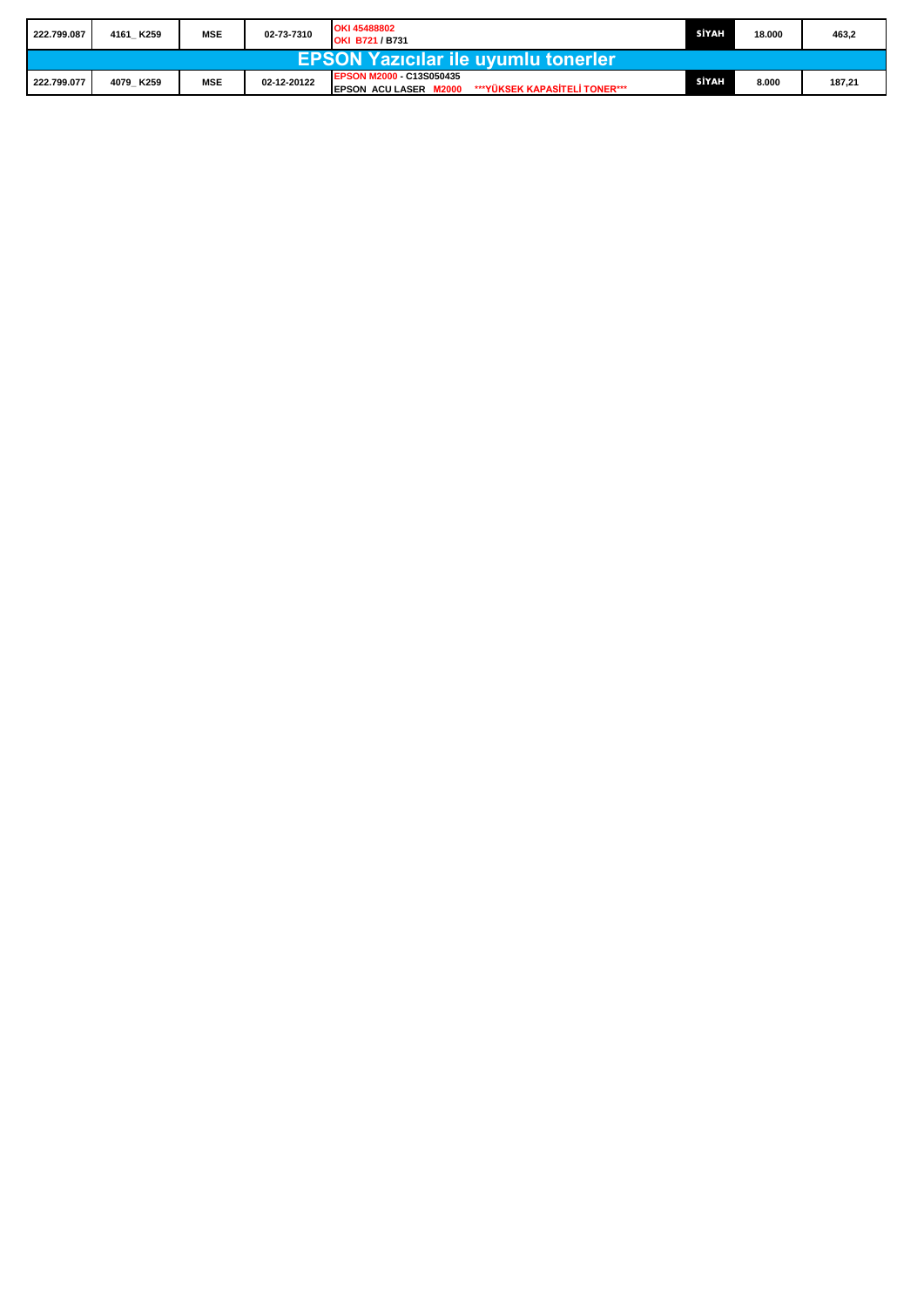| 222.799.087                                | 4161 K259 | <b>MSE</b> | 02-73-7310  | OKI 45488802<br><b>OKI B721/B731</b>                                              | SİYAH | 18.000 | 463,2  |  |
|--------------------------------------------|-----------|------------|-------------|-----------------------------------------------------------------------------------|-------|--------|--------|--|
| <b>EPSON Yazicilar ile uyumlu tonerler</b> |           |            |             |                                                                                   |       |        |        |  |
| 222.799.077                                | 4079 K259 | <b>MSE</b> | 02-12-20122 | EPSON M2000 - C13S050435<br>***YÜKSEK KAPASİTELİ TONER***<br>EPSON ACULASER M2000 | SİYAH | 8.000  | 187,21 |  |